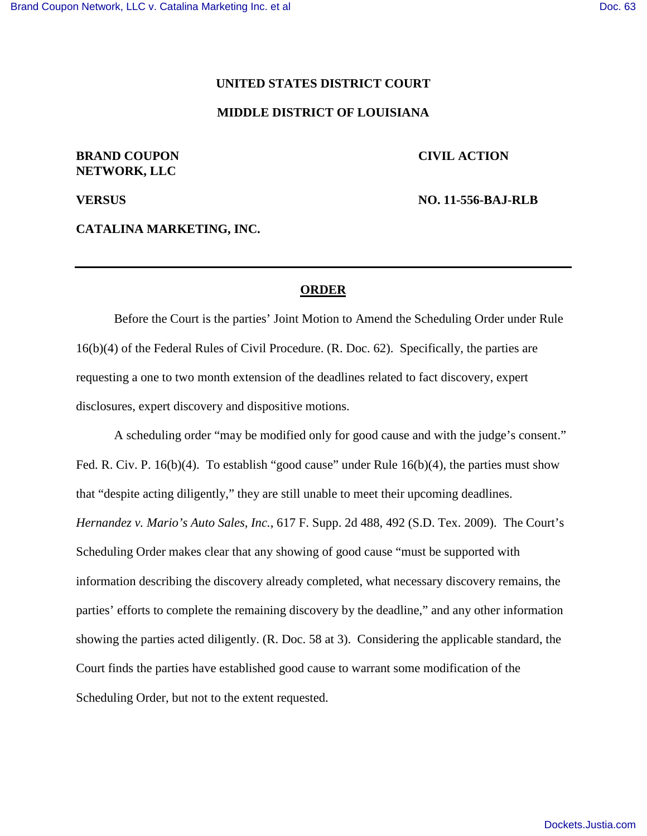### **UNITED STATES DISTRICT COURT**

### **MIDDLE DISTRICT OF LOUISIANA**

# **BRAND COUPON CIVIL ACTION NETWORK, LLC**

**VERSUS NO. 11-556-BAJ-RLB**

**CATALINA MARKETING, INC.**

## **ORDER**

 Before the Court is the parties' Joint Motion to Amend the Scheduling Order under Rule 16(b)(4) of the Federal Rules of Civil Procedure. (R. Doc. 62). Specifically, the parties are requesting a one to two month extension of the deadlines related to fact discovery, expert disclosures, expert discovery and dispositive motions.

 A scheduling order "may be modified only for good cause and with the judge's consent." Fed. R. Civ. P. 16(b)(4). To establish "good cause" under Rule 16(b)(4), the parties must show that "despite acting diligently," they are still unable to meet their upcoming deadlines. *Hernandez v. Mario's Auto Sales, Inc.*, 617 F. Supp. 2d 488, 492 (S.D. Tex. 2009). The Court's Scheduling Order makes clear that any showing of good cause "must be supported with information describing the discovery already completed, what necessary discovery remains, the parties' efforts to complete the remaining discovery by the deadline," and any other information showing the parties acted diligently. (R. Doc. 58 at 3). Considering the applicable standard, the Court finds the parties have established good cause to warrant some modification of the Scheduling Order, but not to the extent requested.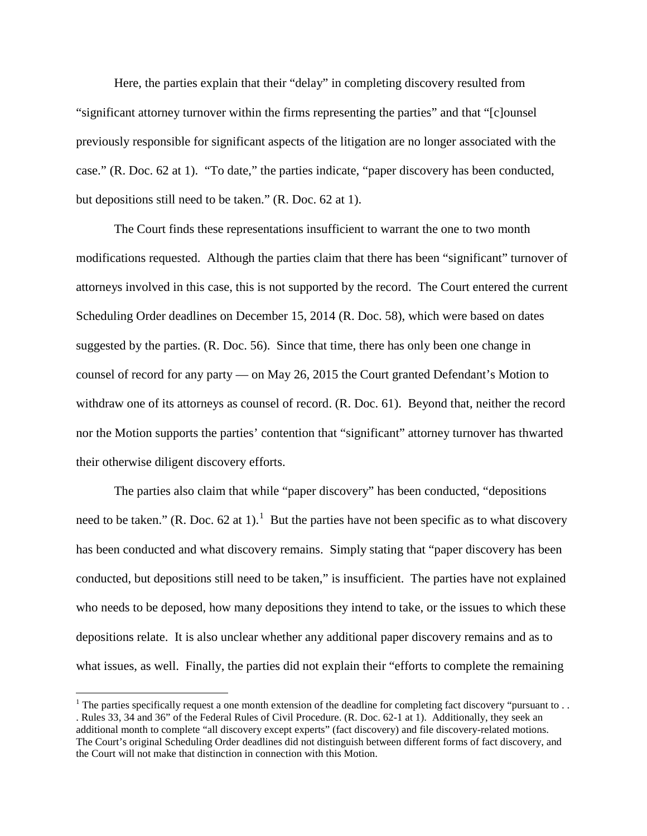Here, the parties explain that their "delay" in completing discovery resulted from "significant attorney turnover within the firms representing the parties" and that "[c]ounsel previously responsible for significant aspects of the litigation are no longer associated with the case." (R. Doc. 62 at 1). "To date," the parties indicate, "paper discovery has been conducted, but depositions still need to be taken." (R. Doc. 62 at 1).

 The Court finds these representations insufficient to warrant the one to two month modifications requested. Although the parties claim that there has been "significant" turnover of attorneys involved in this case, this is not supported by the record. The Court entered the current Scheduling Order deadlines on December 15, 2014 (R. Doc. 58), which were based on dates suggested by the parties. (R. Doc. 56). Since that time, there has only been one change in counsel of record for any party — on May 26, 2015 the Court granted Defendant's Motion to withdraw one of its attorneys as counsel of record. (R. Doc. 61). Beyond that, neither the record nor the Motion supports the parties' contention that "significant" attorney turnover has thwarted their otherwise diligent discovery efforts.

 The parties also claim that while "paper discovery" has been conducted, "depositions need to be taken." (R. Doc. 62 at [1](#page-1-0)).<sup>1</sup> But the parties have not been specific as to what discovery has been conducted and what discovery remains. Simply stating that "paper discovery has been conducted, but depositions still need to be taken," is insufficient. The parties have not explained who needs to be deposed, how many depositions they intend to take, or the issues to which these depositions relate. It is also unclear whether any additional paper discovery remains and as to what issues, as well. Finally, the parties did not explain their "efforts to complete the remaining

 $\overline{a}$ 

<span id="page-1-0"></span><sup>&</sup>lt;sup>1</sup> The parties specifically request a one month extension of the deadline for completing fact discovery "pursuant to... . Rules 33, 34 and 36" of the Federal Rules of Civil Procedure. (R. Doc. 62-1 at 1). Additionally, they seek an additional month to complete "all discovery except experts" (fact discovery) and file discovery-related motions. The Court's original Scheduling Order deadlines did not distinguish between different forms of fact discovery, and the Court will not make that distinction in connection with this Motion.